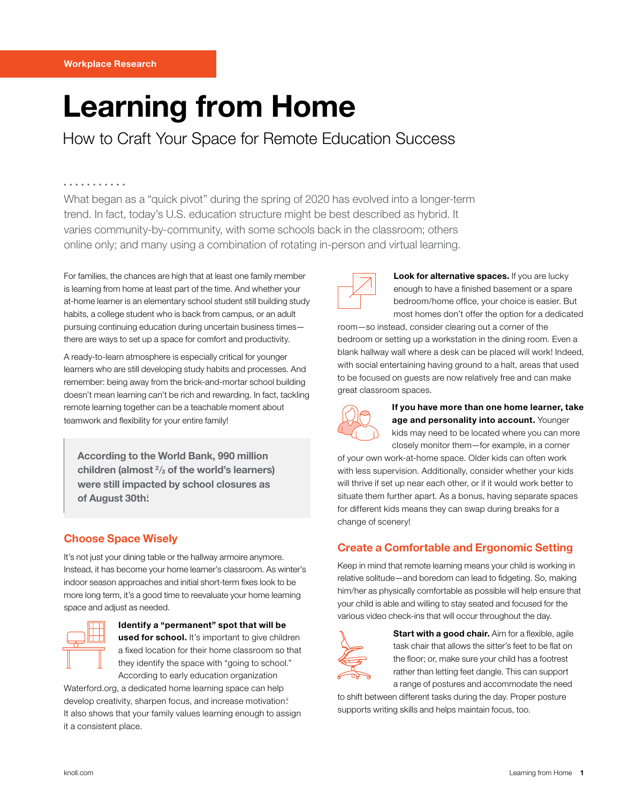# Learning from Home

## How to Craft Your Space for Remote Education Success

#### . . . . . . . . . . .

What began as a "quick pivot" during the spring of 2020 has evolved into a longer-term trend. In fact, today's U.S. education structure might be best described as hybrid. It varies community-by-community, with some schools back in the classroom; others online only; and many using a combination of rotating in-person and virtual learning.

For families, the chances are high that at least one family member is learning from home at least part of the time. And whether your at-home learner is an elementary school student still building study habits, a college student who is back from campus, or an adult pursuing continuing education during uncertain business times there are ways to set up a space for comfort and productivity.

A ready-to-learn atmosphere is especially critical for younger learners who are still developing study habits and processes. And remember: being away from the brick-and-mortar school building doesn't mean learning can't be rich and rewarding. In fact, tackling remote learning together can be a teachable moment about teamwork and flexibility for your entire family!

According to the World Bank, 990 million children (almost  $\frac{2}{3}$  of the world's learners) were still impacted by school closures as of August 30th!

## Choose Space Wisely

It's not just your dining table or the hallway armoire anymore. Instead, it has become your home learner's classroom. As winter's indoor season approaches and initial short-term fixes look to be more long term, it's a good time to reevaluate your home learning space and adjust as needed.



#### Identify a "permanent" spot that will be used for school. It's important to give children a fixed location for their home classroom so that they identify the space with "going to school." According to early education organization

Waterford.org, a dedicated home learning space can help develop creativity, sharpen focus, and increase motivation.<sup>ii</sup> It also shows that your family values learning enough to assign it a consistent place.



Look for alternative spaces. If you are lucky enough to have a finished basement or a spare bedroom/home office, your choice is easier. But most homes don't offer the option for a dedicated

room—so instead, consider clearing out a corner of the bedroom or setting up a workstation in the dining room. Even a blank hallway wall where a desk can be placed will work! Indeed, with social entertaining having ground to a halt, areas that used to be focused on guests are now relatively free and can make great classroom spaces.



If you have more than one home learner, take age and personality into account. Younger kids may need to be located where you can more closely monitor them—for example, in a corner

of your own work-at-home space. Older kids can often work with less supervision. Additionally, consider whether your kids will thrive if set up near each other, or if it would work better to situate them further apart. As a bonus, having separate spaces for different kids means they can swap during breaks for a change of scenery!

## Create a Comfortable and Ergonomic Setting

Keep in mind that remote learning means your child is working in relative solitude—and boredom can lead to fidgeting. So, making him/her as physically comfortable as possible will help ensure that your child is able and willing to stay seated and focused for the various video check-ins that will occur throughout the day.



Start with a good chair. Aim for a flexible, agile task chair that allows the sitter's feet to be flat on the floor; or, make sure your child has a footrest rather than letting feet dangle. This can support a range of postures and accommodate the need

to shift between different tasks during the day. Proper posture supports writing skills and helps maintain focus, too.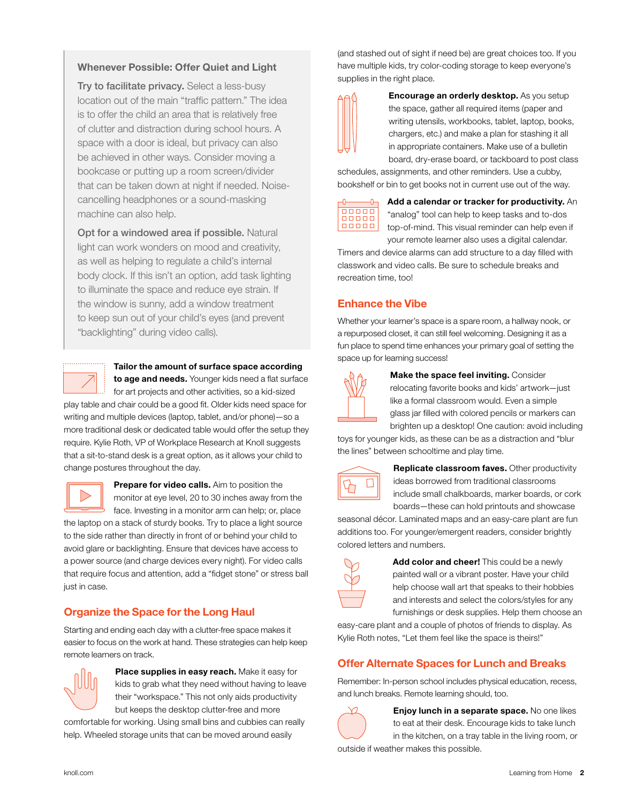#### Whenever Possible: Offer Quiet and Light

Try to facilitate privacy. Select a less-busy location out of the main "traffic pattern." The idea is to offer the child an area that is relatively free of clutter and distraction during school hours. A space with a door is ideal, but privacy can also be achieved in other ways. Consider moving a bookcase or putting up a room screen/divider that can be taken down at night if needed. Noisecancelling headphones or a sound-masking machine can also help.

Opt for a windowed area if possible. Natural light can work wonders on mood and creativity, as well as helping to regulate a child's internal body clock. If this isn't an option, add task lighting to illuminate the space and reduce eye strain. If the window is sunny, add a window treatment to keep sun out of your child's eyes (and prevent "backlighting" during video calls).



### Tailor the amount of surface space according

to age and needs. Younger kids need a flat surface for art projects and other activities, so a kid-sized play table and chair could be a good fit. Older kids need space for writing and multiple devices (laptop, tablet, and/or phone)—so a more traditional desk or dedicated table would offer the setup they require. Kylie Roth, VP of Workplace Research at Knoll suggests that a sit-to-stand desk is a great option, as it allows your child to change postures throughout the day.



Prepare for video calls. Aim to position the monitor at eye level, 20 to 30 inches away from the

face. Investing in a monitor arm can help; or, place the laptop on a stack of sturdy books. Try to place a light source to the side rather than directly in front of or behind your child to avoid glare or backlighting. Ensure that devices have access to a power source (and charge devices every night). For video calls that require focus and attention, add a "fidget stone" or stress ball just in case.

## Organize the Space for the Long Haul

Starting and ending each day with a clutter-free space makes it easier to focus on the work at hand. These strategies can help keep remote learners on track.



Place supplies in easy reach. Make it easy for kids to grab what they need without having to leave their "workspace." This not only aids productivity but keeps the desktop clutter-free and more

comfortable for working. Using small bins and cubbies can really help. Wheeled storage units that can be moved around easily

(and stashed out of sight if need be) are great choices too. If you have multiple kids, try color-coding storage to keep everyone's supplies in the right place.

**Encourage an orderly desktop.** As you setup the space, gather all required items (paper and writing utensils, workbooks, tablet, laptop, books, chargers, etc.) and make a plan for stashing it all in appropriate containers. Make use of a bulletin board, dry-erase board, or tackboard to post class

schedules, assignments, and other reminders. Use a cubby, bookshelf or bin to get books not in current use out of the way.



Add a calendar or tracker for productivity. An "analog" tool can help to keep tasks and to-dos top-of-mind. This visual reminder can help even if your remote learner also uses a digital calendar.

Timers and device alarms can add structure to a day filled with classwork and video calls. Be sure to schedule breaks and recreation time, too!

## Enhance the Vibe

Whether your learner's space is a spare room, a hallway nook, or a repurposed closet, it can still feel welcoming. Designing it as a fun place to spend time enhances your primary goal of setting the space up for learning success!



Make the space feel inviting. Consider

relocating favorite books and kids' artwork—just like a formal classroom would. Even a simple glass jar filled with colored pencils or markers can brighten up a desktop! One caution: avoid including

toys for younger kids, as these can be as a distraction and "blur the lines" between schooltime and play time.



Replicate classroom faves. Other productivity ideas borrowed from traditional classrooms include small chalkboards, marker boards, or cork boards—these can hold printouts and showcase

seasonal décor. Laminated maps and an easy-care plant are fun additions too. For younger/emergent readers, consider brightly colored letters and numbers.



Add color and cheer! This could be a newly painted wall or a vibrant poster. Have your child help choose wall art that speaks to their hobbies and interests and select the colors/styles for any furnishings or desk supplies. Help them choose an

easy-care plant and a couple of photos of friends to display. As Kylie Roth notes, "Let them feel like the space is theirs!"

## Offer Alternate Spaces for Lunch and Breaks

Remember: In-person school includes physical education, recess, and lunch breaks. Remote learning should, too.



Enjoy lunch in a separate space. No one likes to eat at their desk. Encourage kids to take lunch in the kitchen, on a tray table in the living room, or

outside if weather makes this possible.